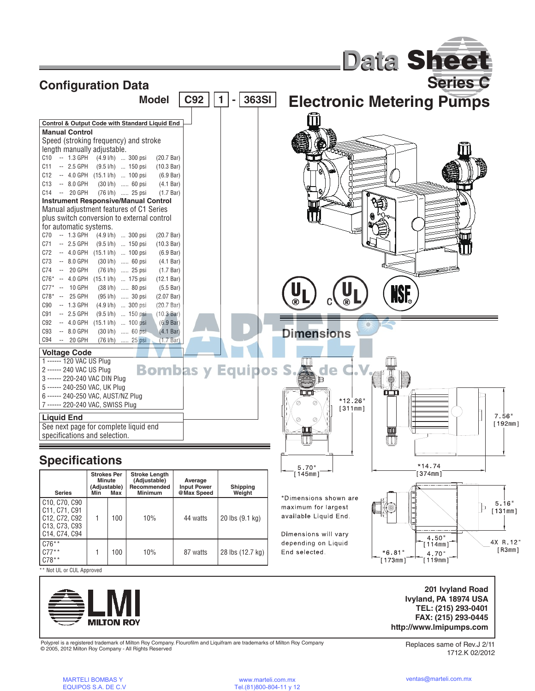



Polyprel is a registered trademark of Milton Roy Company. Flourofilm and Liquifram are trademarks of Milton Roy Company © 2005, 2012 Milton Roy Company - All Rights Reserved

Replaces same of Rev.J 2/11 1712.K 02/2012

**Ivyland, PA 18974 USA TEL: (215) 293-0401 FAX: (215) 293-0445 http://www.lmipumps.com**